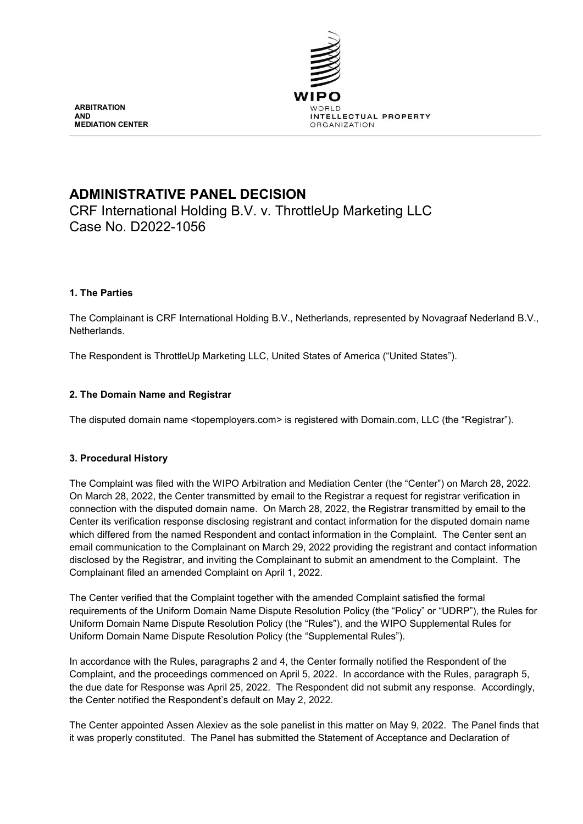

**ARBITRATION AND MEDIATION CENTER**

# **ADMINISTRATIVE PANEL DECISION**

CRF International Holding B.V. v. ThrottleUp Marketing LLC Case No. D2022-1056

# **1. The Parties**

The Complainant is CRF International Holding B.V., Netherlands, represented by Novagraaf Nederland B.V., Netherlands.

The Respondent is ThrottleUp Marketing LLC, United States of America ("United States").

# **2. The Domain Name and Registrar**

The disputed domain name <topemployers.com> is registered with Domain.com, LLC (the "Registrar").

# **3. Procedural History**

The Complaint was filed with the WIPO Arbitration and Mediation Center (the "Center") on March 28, 2022. On March 28, 2022, the Center transmitted by email to the Registrar a request for registrar verification in connection with the disputed domain name. On March 28, 2022, the Registrar transmitted by email to the Center its verification response disclosing registrant and contact information for the disputed domain name which differed from the named Respondent and contact information in the Complaint. The Center sent an email communication to the Complainant on March 29, 2022 providing the registrant and contact information disclosed by the Registrar, and inviting the Complainant to submit an amendment to the Complaint. The Complainant filed an amended Complaint on April 1, 2022.

The Center verified that the Complaint together with the amended Complaint satisfied the formal requirements of the Uniform Domain Name Dispute Resolution Policy (the "Policy" or "UDRP"), the Rules for Uniform Domain Name Dispute Resolution Policy (the "Rules"), and the WIPO Supplemental Rules for Uniform Domain Name Dispute Resolution Policy (the "Supplemental Rules").

In accordance with the Rules, paragraphs 2 and 4, the Center formally notified the Respondent of the Complaint, and the proceedings commenced on April 5, 2022. In accordance with the Rules, paragraph 5, the due date for Response was April 25, 2022. The Respondent did not submit any response. Accordingly, the Center notified the Respondent's default on May 2, 2022.

The Center appointed Assen Alexiev as the sole panelist in this matter on May 9, 2022. The Panel finds that it was properly constituted. The Panel has submitted the Statement of Acceptance and Declaration of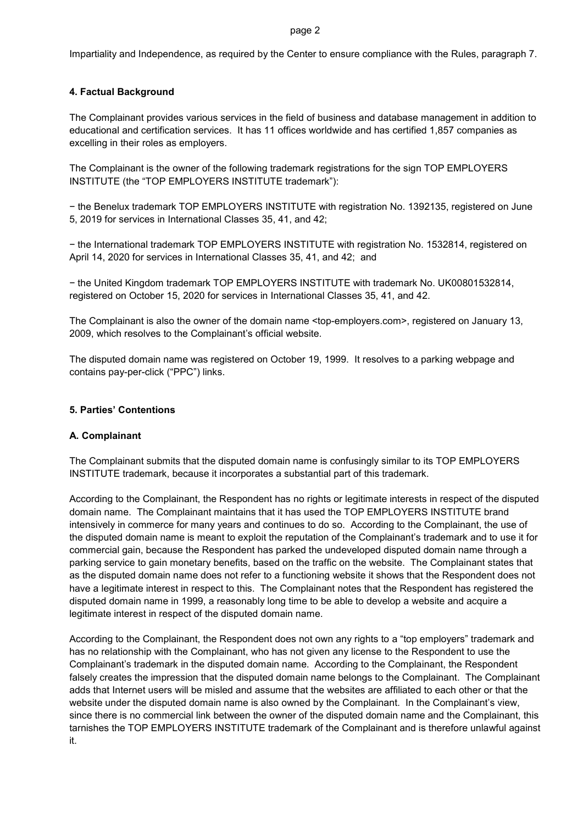#### page 2

Impartiality and Independence, as required by the Center to ensure compliance with the Rules, paragraph 7.

# **4. Factual Background**

The Complainant provides various services in the field of business and database management in addition to educational and certification services. It has 11 offices worldwide and has certified 1,857 companies as excelling in their roles as employers.

The Complainant is the owner of the following trademark registrations for the sign TOP EMPLOYERS INSTITUTE (the "TOP EMPLOYERS INSTITUTE trademark"):

− the Benelux trademark TOP EMPLOYERS INSTITUTE with registration No. 1392135, registered on June 5, 2019 for services in International Classes 35, 41, and 42;

− the International trademark TOP EMPLOYERS INSTITUTE with registration No. 1532814, registered on April 14, 2020 for services in International Classes 35, 41, and 42; and

− the United Kingdom trademark TOP EMPLOYERS INSTITUTE with trademark No. UK00801532814, registered on October 15, 2020 for services in International Classes 35, 41, and 42.

The Complainant is also the owner of the domain name <top-employers.com>, registered on January 13, 2009, which resolves to the Complainant's official website.

The disputed domain name was registered on October 19, 1999. It resolves to a parking webpage and contains pay-per-click ("PPC") links.

# **5. Parties' Contentions**

### **A. Complainant**

The Complainant submits that the disputed domain name is confusingly similar to its TOP EMPLOYERS INSTITUTE trademark, because it incorporates a substantial part of this trademark.

According to the Complainant, the Respondent has no rights or legitimate interests in respect of the disputed domain name. The Complainant maintains that it has used the TOP EMPLOYERS INSTITUTE brand intensively in commerce for many years and continues to do so. According to the Complainant, the use of the disputed domain name is meant to exploit the reputation of the Complainant's trademark and to use it for commercial gain, because the Respondent has parked the undeveloped disputed domain name through a parking service to gain monetary benefits, based on the traffic on the website. The Complainant states that as the disputed domain name does not refer to a functioning website it shows that the Respondent does not have a legitimate interest in respect to this. The Complainant notes that the Respondent has registered the disputed domain name in 1999, a reasonably long time to be able to develop a website and acquire a legitimate interest in respect of the disputed domain name.

According to the Complainant, the Respondent does not own any rights to a "top employers" trademark and has no relationship with the Complainant, who has not given any license to the Respondent to use the Complainant's trademark in the disputed domain name. According to the Complainant, the Respondent falsely creates the impression that the disputed domain name belongs to the Complainant. The Complainant adds that Internet users will be misled and assume that the websites are affiliated to each other or that the website under the disputed domain name is also owned by the Complainant. In the Complainant's view, since there is no commercial link between the owner of the disputed domain name and the Complainant, this tarnishes the TOP EMPLOYERS INSTITUTE trademark of the Complainant and is therefore unlawful against it.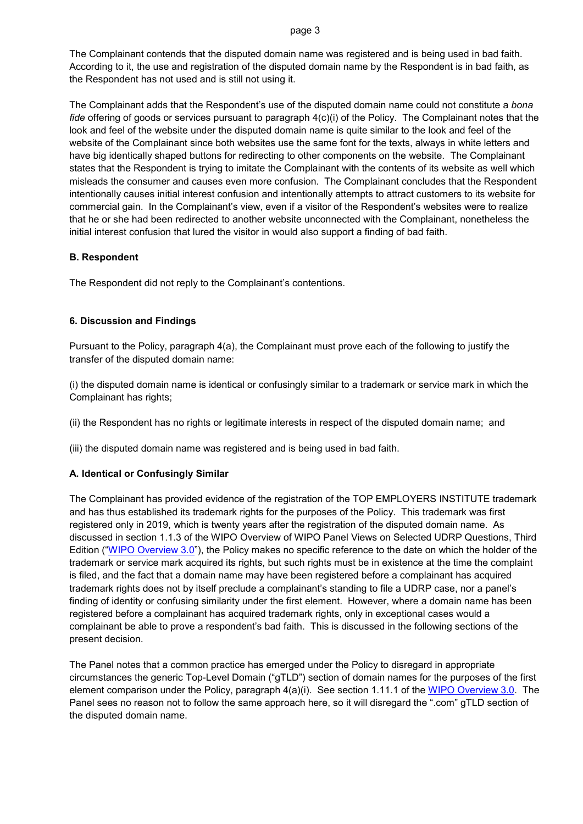#### page 3

The Complainant contends that the disputed domain name was registered and is being used in bad faith. According to it, the use and registration of the disputed domain name by the Respondent is in bad faith, as the Respondent has not used and is still not using it.

The Complainant adds that the Respondent's use of the disputed domain name could not constitute a *bona fide* offering of goods or services pursuant to paragraph 4(c)(i) of the Policy. The Complainant notes that the look and feel of the website under the disputed domain name is quite similar to the look and feel of the website of the Complainant since both websites use the same font for the texts, always in white letters and have big identically shaped buttons for redirecting to other components on the website. The Complainant states that the Respondent is trying to imitate the Complainant with the contents of its website as well which misleads the consumer and causes even more confusion. The Complainant concludes that the Respondent intentionally causes initial interest confusion and intentionally attempts to attract customers to its website for commercial gain. In the Complainant's view, even if a visitor of the Respondent's websites were to realize that he or she had been redirected to another website unconnected with the Complainant, nonetheless the initial interest confusion that lured the visitor in would also support a finding of bad faith.

# **B. Respondent**

The Respondent did not reply to the Complainant's contentions.

# **6. Discussion and Findings**

Pursuant to the Policy, paragraph 4(a), the Complainant must prove each of the following to justify the transfer of the disputed domain name:

(i) the disputed domain name is identical or confusingly similar to a trademark or service mark in which the Complainant has rights;

(ii) the Respondent has no rights or legitimate interests in respect of the disputed domain name; and

(iii) the disputed domain name was registered and is being used in bad faith.

# **A. Identical or Confusingly Similar**

The Complainant has provided evidence of the registration of the TOP EMPLOYERS INSTITUTE trademark and has thus established its trademark rights for the purposes of the Policy. This trademark was first registered only in 2019, which is twenty years after the registration of the disputed domain name. As discussed in section 1.1.3 of the WIPO Overview of WIPO Panel Views on Selected UDRP Questions, Third Edition ("[WIPO Overview 3.](https://www.wipo.int/amc/en/domains/search/overview3.0/)0"), the Policy makes no specific reference to the date on which the holder of the trademark or service mark acquired its rights, but such rights must be in existence at the time the complaint is filed, and the fact that a domain name may have been registered before a complainant has acquired trademark rights does not by itself preclude a complainant's standing to file a UDRP case, nor a panel's finding of identity or confusing similarity under the first element. However, where a domain name has been registered before a complainant has acquired trademark rights, only in exceptional cases would a complainant be able to prove a respondent's bad faith. This is discussed in the following sections of the present decision.

The Panel notes that a common practice has emerged under the Policy to disregard in appropriate circumstances the generic Top-Level Domain ("gTLD") section of domain names for the purposes of the first element comparison under the Policy, paragraph 4(a)(i). See section 1.11.1 of the [WIPO Overview 3.0](https://www.wipo.int/amc/en/domains/search/overview3.0/). The Panel sees no reason not to follow the same approach here, so it will disregard the ".com" gTLD section of the disputed domain name.